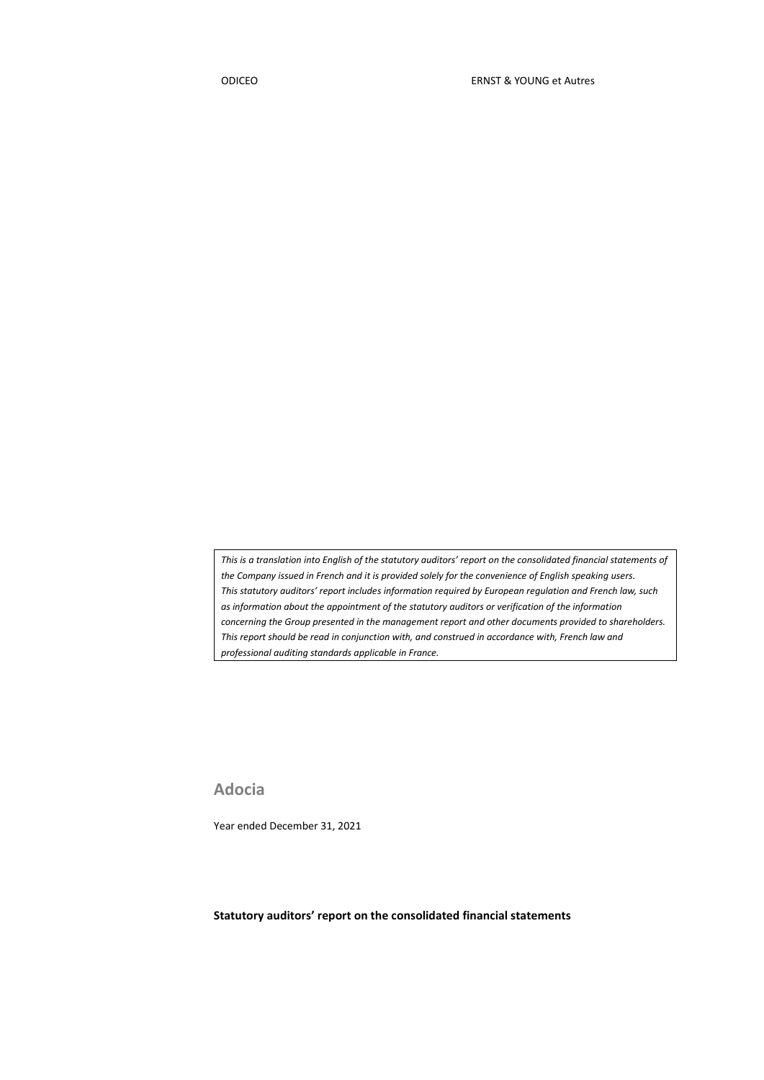*This is a translation into English of the statutory auditors' report on the consolidated financial statements of the Company issued in French and it is provided solely for the convenience of English speaking users. This statutory auditors' report includes information required by European regulation and French law, such as information about the appointment of the statutory auditors or verification of the information concerning the Group presented in the management report and other documents provided to shareholders. This report should be read in conjunction with, and construed in accordance with, French law and professional auditing standards applicable in France.*

**Adocia**

Year ended December 31, 2021

**Statutory auditors' report on the consolidated financial statements**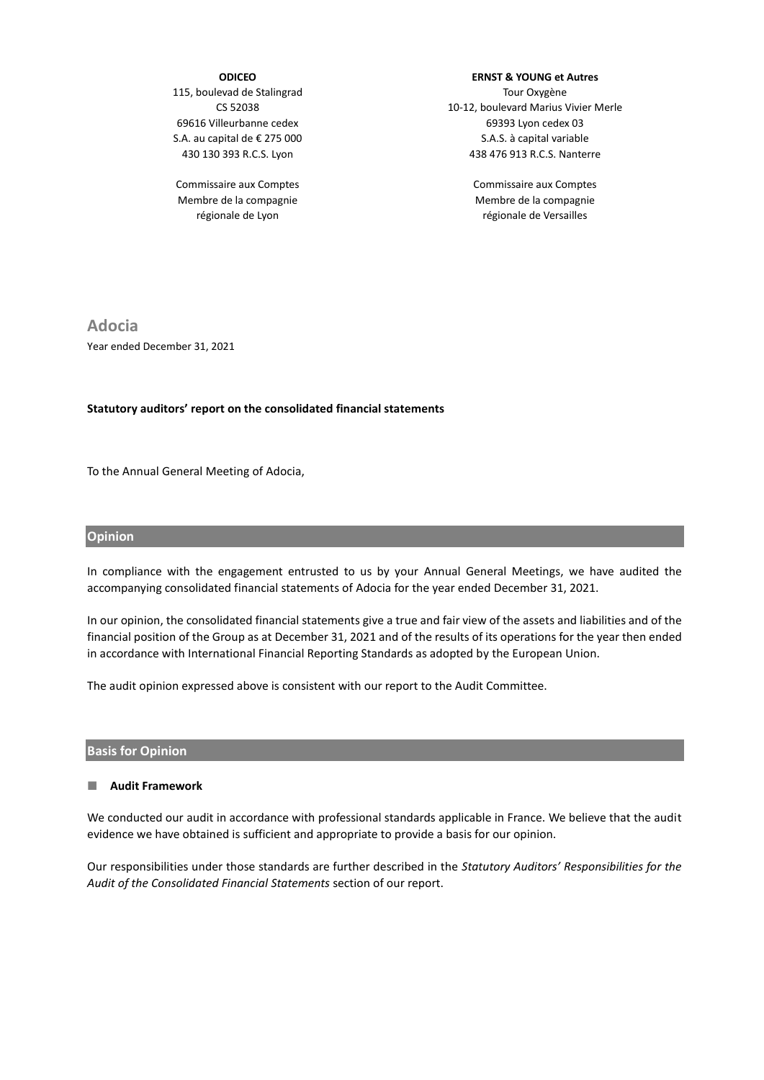### **ODICEO**

115, boulevad de Stalingrad CS 52038 69616 Villeurbanne cedex S.A. au capital de € 275 000 430 130 393 R.C.S. Lyon

Commissaire aux Comptes Membre de la compagnie régionale de Lyon

# **ERNST & YOUNG et Autres**

Tour Oxygène 10-12, boulevard Marius Vivier Merle 69393 Lyon cedex 03 S.A.S. à capital variable 438 476 913 R.C.S. Nanterre

> Commissaire aux Comptes Membre de la compagnie régionale de Versailles

**Adocia** Year ended December 31, 2021

#### **Statutory auditors' report on the consolidated financial statements**

To the Annual General Meeting of Adocia,

#### **Opinion**

In compliance with the engagement entrusted to us by your Annual General Meetings, we have audited the accompanying consolidated financial statements of Adocia for the year ended December 31, 2021.

In our opinion, the consolidated financial statements give a true and fair view of the assets and liabilities and of the financial position of the Group as at December 31, 2021 and of the results of its operations for the year then ended in accordance with International Financial Reporting Standards as adopted by the European Union.

The audit opinion expressed above is consistent with our report to the Audit Committee.

#### **Basis for Opinion**

#### **Audit Framework**

We conducted our audit in accordance with professional standards applicable in France. We believe that the audit evidence we have obtained is sufficient and appropriate to provide a basis for our opinion.

Our responsibilities under those standards are further described in the *Statutory Auditors' Responsibilities for the Audit of the Consolidated Financial Statements* section of our report.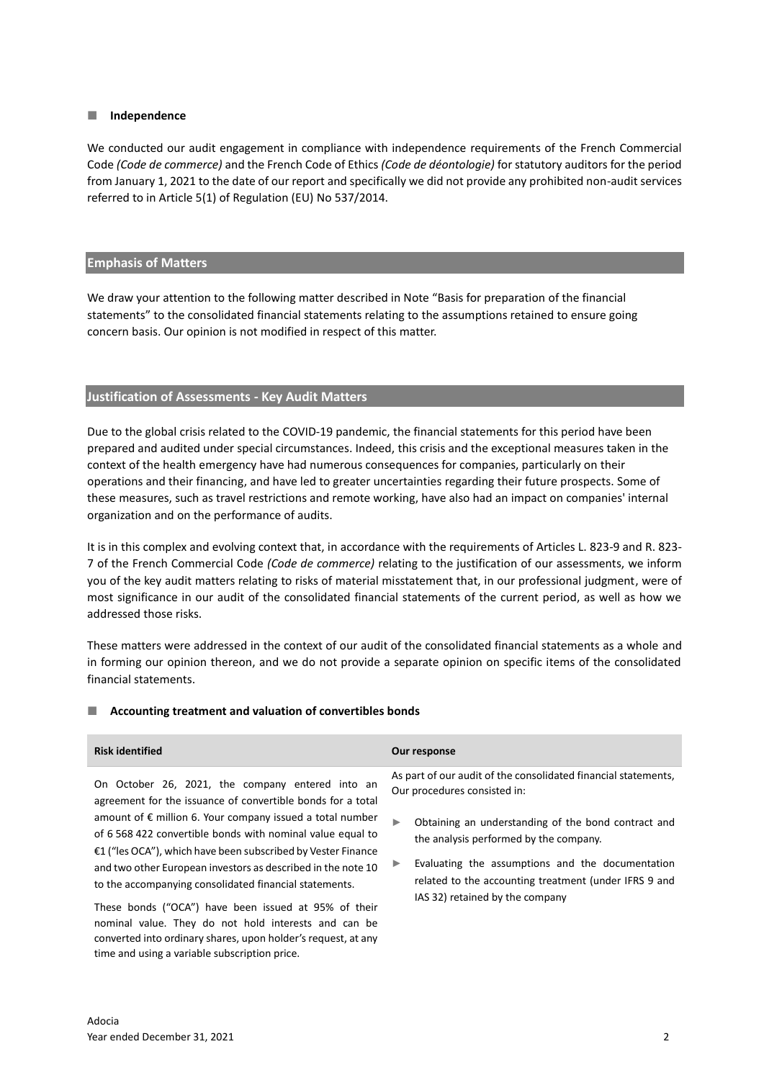#### **Independence**

We conducted our audit engagement in compliance with independence requirements of the French Commercial Code *(Code de commerce)* and the French Code of Ethics *(Code de déontologie)* for statutory auditors for the period from January 1, 2021 to the date of our report and specifically we did not provide any prohibited non-audit services referred to in Article 5(1) of Regulation (EU) No 537/2014.

#### **Emphasis of Matters**

We draw your attention to the following matter described in Note "Basis for preparation of the financial statements" to the consolidated financial statements relating to the assumptions retained to ensure going concern basis. Our opinion is not modified in respect of this matter.

# **Justification of Assessments - Key Audit Matters**

Due to the global crisis related to the COVID-19 pandemic, the financial statements for this period have been prepared and audited under special circumstances. Indeed, this crisis and the exceptional measures taken in the context of the health emergency have had numerous consequences for companies, particularly on their operations and their financing, and have led to greater uncertainties regarding their future prospects. Some of these measures, such as travel restrictions and remote working, have also had an impact on companies' internal organization and on the performance of audits.

It is in this complex and evolving context that, in accordance with the requirements of Articles L. 823-9 and R. 823- 7 of the French Commercial Code *(Code de commerce)* relating to the justification of our assessments, we inform you of the key audit matters relating to risks of material misstatement that, in our professional judgment, were of most significance in our audit of the consolidated financial statements of the current period, as well as how we addressed those risks.

These matters were addressed in the context of our audit of the consolidated financial statements as a whole and in forming our opinion thereon, and we do not provide a separate opinion on specific items of the consolidated financial statements.

### **Accounting treatment and valuation of convertibles bonds**

converted into ordinary shares, upon holder's request, at any

time and using a variable subscription price.

| <b>Risk identified</b>                                                                                                                                                                                                                                                                                                                                                                                                                                                                                | Our response                                                                                                                                                                                                                                                                                                                                              |
|-------------------------------------------------------------------------------------------------------------------------------------------------------------------------------------------------------------------------------------------------------------------------------------------------------------------------------------------------------------------------------------------------------------------------------------------------------------------------------------------------------|-----------------------------------------------------------------------------------------------------------------------------------------------------------------------------------------------------------------------------------------------------------------------------------------------------------------------------------------------------------|
| On October 26, 2021, the company entered into an<br>agreement for the issuance of convertible bonds for a total<br>amount of $\epsilon$ million 6. Your company issued a total number<br>of 6 568 422 convertible bonds with nominal value equal to<br>€1 ("les OCA"), which have been subscribed by Vester Finance<br>and two other European investors as described in the note 10<br>to the accompanying consolidated financial statements.<br>These bonds ("OCA") have been issued at 95% of their | As part of our audit of the consolidated financial statements,<br>Our procedures consisted in:<br>Obtaining an understanding of the bond contract and<br>▶<br>the analysis performed by the company.<br>Evaluating the assumptions and the documentation<br>▶<br>related to the accounting treatment (under IFRS 9 and<br>IAS 32) retained by the company |
| nominal value. They do not hold interests and can be                                                                                                                                                                                                                                                                                                                                                                                                                                                  |                                                                                                                                                                                                                                                                                                                                                           |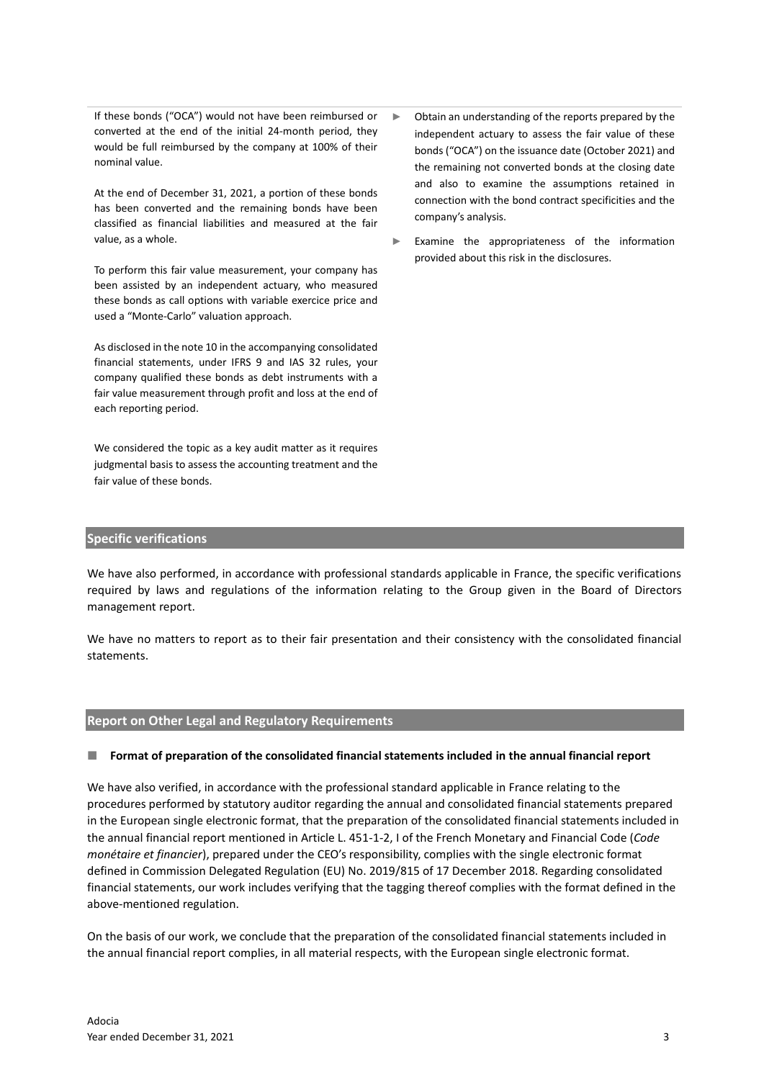If these bonds ("OCA") would not have been reimbursed or converted at the end of the initial 24-month period, they would be full reimbursed by the company at 100% of their nominal value.

At the end of December 31, 2021, a portion of these bonds has been converted and the remaining bonds have been classified as financial liabilities and measured at the fair value, as a whole.

To perform this fair value measurement, your company has been assisted by an independent actuary, who measured these bonds as call options with variable exercice price and used a "Monte-Carlo" valuation approach.

As disclosed in the note 10 in the accompanying consolidated financial statements, under IFRS 9 and IAS 32 rules, your company qualified these bonds as debt instruments with a fair value measurement through profit and loss at the end of each reporting period.

We considered the topic as a key audit matter as it requires judgmental basis to assess the accounting treatment and the fair value of these bonds.

- ► Obtain an understanding of the reports prepared by the independent actuary to assess the fair value of these bonds ("OCA") on the issuance date (October 2021) and the remaining not converted bonds at the closing date and also to examine the assumptions retained in connection with the bond contract specificities and the company's analysis.
- ► Examine the appropriateness of the information provided about this risk in the disclosures.

## **Specific verifications**

We have also performed, in accordance with professional standards applicable in France, the specific verifications required by laws and regulations of the information relating to the Group given in the Board of Directors management report.

We have no matters to report as to their fair presentation and their consistency with the consolidated financial statements.

### **Report on Other Legal and Regulatory Requirements**

### **Format of preparation of the consolidated financial statements included in the annual financial report**

We have also verified, in accordance with the professional standard applicable in France relating to the procedures performed by statutory auditor regarding the annual and consolidated financial statements prepared in the European single electronic format, that the preparation of the consolidated financial statements included in the annual financial report mentioned in Article L. 451-1-2, I of the French Monetary and Financial Code (*Code monétaire et financier*), prepared under the CEO's responsibility, complies with the single electronic format defined in Commission Delegated Regulation (EU) No. 2019/815 of 17 December 2018. Regarding consolidated financial statements, our work includes verifying that the tagging thereof complies with the format defined in the above-mentioned regulation.

On the basis of our work, we conclude that the preparation of the consolidated financial statements included in the annual financial report complies, in all material respects, with the European single electronic format.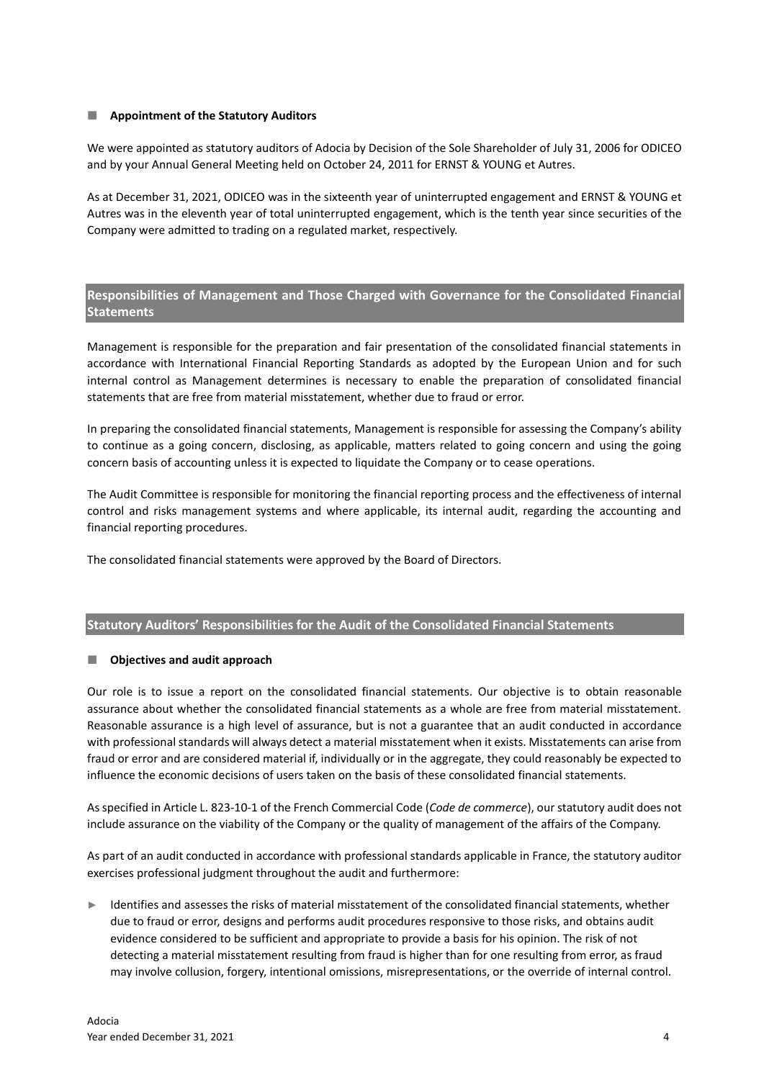## **Appointment of the Statutory Auditors**

We were appointed as statutory auditors of Adocia by Decision of the Sole Shareholder of July 31, 2006 for ODICEO and by your Annual General Meeting held on October 24, 2011 for ERNST & YOUNG et Autres.

As at December 31, 2021, ODICEO was in the sixteenth year of uninterrupted engagement and ERNST & YOUNG et Autres was in the eleventh year of total uninterrupted engagement, which is the tenth year since securities of the Company were admitted to trading on a regulated market, respectively.

# **Responsibilities of Management and Those Charged with Governance for the Consolidated Financial Statements**

Management is responsible for the preparation and fair presentation of the consolidated financial statements in accordance with International Financial Reporting Standards as adopted by the European Union and for such internal control as Management determines is necessary to enable the preparation of consolidated financial statements that are free from material misstatement, whether due to fraud or error.

In preparing the consolidated financial statements, Management is responsible for assessing the Company's ability to continue as a going concern, disclosing, as applicable, matters related to going concern and using the going concern basis of accounting unless it is expected to liquidate the Company or to cease operations.

The Audit Committee is responsible for monitoring the financial reporting process and the effectiveness of internal control and risks management systems and where applicable, its internal audit, regarding the accounting and financial reporting procedures.

The consolidated financial statements were approved by the Board of Directors.

# **Statutory Auditors' Responsibilities for the Audit of the Consolidated Financial Statements**

### **Objectives and audit approach**

Our role is to issue a report on the consolidated financial statements. Our objective is to obtain reasonable assurance about whether the consolidated financial statements as a whole are free from material misstatement. Reasonable assurance is a high level of assurance, but is not a guarantee that an audit conducted in accordance with professional standards will always detect a material misstatement when it exists. Misstatements can arise from fraud or error and are considered material if, individually or in the aggregate, they could reasonably be expected to influence the economic decisions of users taken on the basis of these consolidated financial statements.

As specified in Article L. 823-10-1 of the French Commercial Code (*Code de commerce*), our statutory audit does not include assurance on the viability of the Company or the quality of management of the affairs of the Company.

As part of an audit conducted in accordance with professional standards applicable in France, the statutory auditor exercises professional judgment throughout the audit and furthermore:

Identifies and assesses the risks of material misstatement of the consolidated financial statements, whether due to fraud or error, designs and performs audit procedures responsive to those risks, and obtains audit evidence considered to be sufficient and appropriate to provide a basis for his opinion. The risk of not detecting a material misstatement resulting from fraud is higher than for one resulting from error, as fraud may involve collusion, forgery, intentional omissions, misrepresentations, or the override of internal control.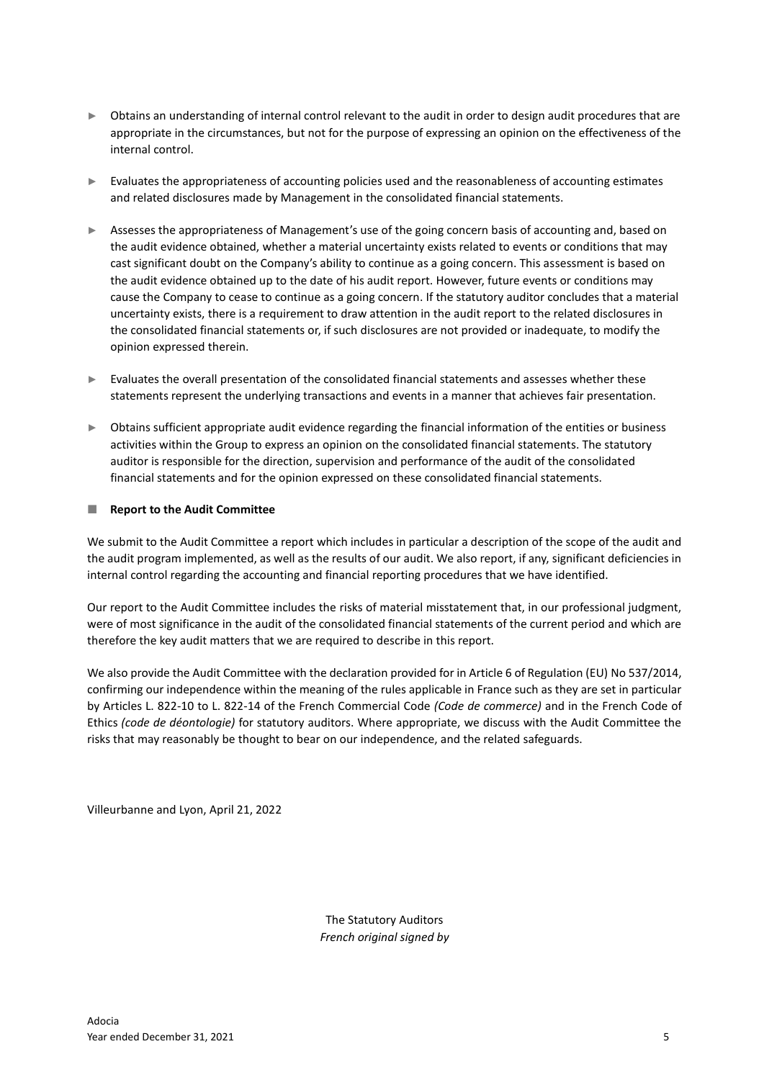- ► Obtains an understanding of internal control relevant to the audit in order to design audit procedures that are appropriate in the circumstances, but not for the purpose of expressing an opinion on the effectiveness of the internal control.
- ► Evaluates the appropriateness of accounting policies used and the reasonableness of accounting estimates and related disclosures made by Management in the consolidated financial statements.
- ► Assesses the appropriateness of Management's use of the going concern basis of accounting and, based on the audit evidence obtained, whether a material uncertainty exists related to events or conditions that may cast significant doubt on the Company's ability to continue as a going concern. This assessment is based on the audit evidence obtained up to the date of his audit report. However, future events or conditions may cause the Company to cease to continue as a going concern. If the statutory auditor concludes that a material uncertainty exists, there is a requirement to draw attention in the audit report to the related disclosures in the consolidated financial statements or, if such disclosures are not provided or inadequate, to modify the opinion expressed therein.
- ► Evaluates the overall presentation of the consolidated financial statements and assesses whether these statements represent the underlying transactions and events in a manner that achieves fair presentation.
- ► Obtains sufficient appropriate audit evidence regarding the financial information of the entities or business activities within the Group to express an opinion on the consolidated financial statements. The statutory auditor is responsible for the direction, supervision and performance of the audit of the consolidated financial statements and for the opinion expressed on these consolidated financial statements.

### **Report to the Audit Committee**

We submit to the Audit Committee a report which includes in particular a description of the scope of the audit and the audit program implemented, as well as the results of our audit. We also report, if any, significant deficiencies in internal control regarding the accounting and financial reporting procedures that we have identified.

Our report to the Audit Committee includes the risks of material misstatement that, in our professional judgment, were of most significance in the audit of the consolidated financial statements of the current period and which are therefore the key audit matters that we are required to describe in this report.

We also provide the Audit Committee with the declaration provided for in Article 6 of Regulation (EU) No 537/2014, confirming our independence within the meaning of the rules applicable in France such as they are set in particular by Articles L. 822-10 to L. 822-14 of the French Commercial Code *(Code de commerce)* and in the French Code of Ethics *(code de déontologie)* for statutory auditors. Where appropriate, we discuss with the Audit Committee the risks that may reasonably be thought to bear on our independence, and the related safeguards.

Villeurbanne and Lyon, April 21, 2022

The Statutory Auditors *French original signed by*